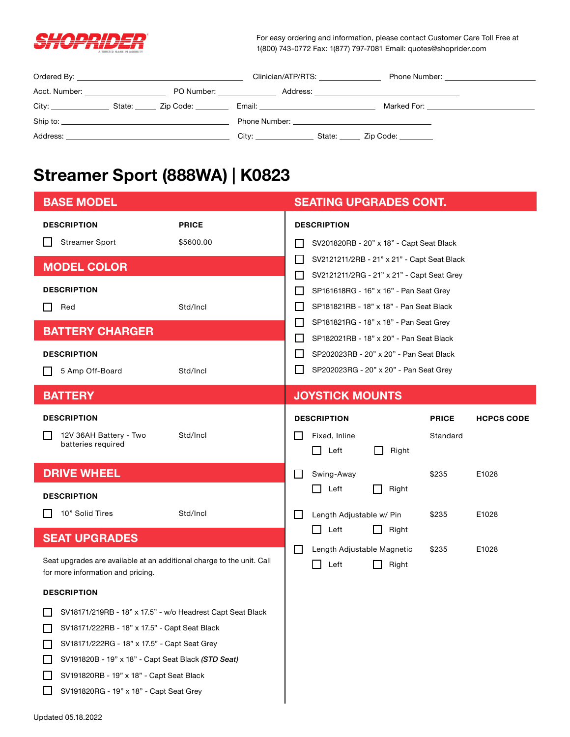

For easy ordering and information, please contact Customer Care Toll Free at 1(800) 743-0772 Fax: 1(877) 797-7081 Email: quotes@shoprider.com

|                                        |                            |                       | Clinician/ATP/RTS:                                                                                                                                                                                                            | Phone Number: National Phone Number: |
|----------------------------------------|----------------------------|-----------------------|-------------------------------------------------------------------------------------------------------------------------------------------------------------------------------------------------------------------------------|--------------------------------------|
| Acct. Number: ________________________ | PO Number: _______________ |                       |                                                                                                                                                                                                                               |                                      |
|                                        |                            |                       | Email: <u>__________________________</u>                                                                                                                                                                                      | Marked For: <u>______________</u>    |
| Ship to:                               |                            |                       | Phone Number: The contract of the contract of the contract of the contract of the contract of the contract of the contract of the contract of the contract of the contract of the contract of the contract of the contract of |                                      |
|                                        |                            | City: _______________ | State: <u>Zip Code:</u>                                                                                                                                                                                                       |                                      |

## **Streamer Sport (888WA) | K0823**

| <b>BASE MODEL</b>                                                                                                                                                                                                                                                                                                  |                           | <b>SEATING UPGRADES CONT.</b>                                                                             |                          |                   |  |
|--------------------------------------------------------------------------------------------------------------------------------------------------------------------------------------------------------------------------------------------------------------------------------------------------------------------|---------------------------|-----------------------------------------------------------------------------------------------------------|--------------------------|-------------------|--|
| <b>DESCRIPTION</b><br><b>Streamer Sport</b><br>ΙI                                                                                                                                                                                                                                                                  | <b>PRICE</b><br>\$5600.00 | <b>DESCRIPTION</b><br>SV201820RB - 20" x 18" - Capt Seat Black                                            |                          |                   |  |
| <b>MODEL COLOR</b>                                                                                                                                                                                                                                                                                                 |                           | SV2121211/2RB - 21" x 21" - Capt Seat Black<br>$\mathbf{L}$<br>SV2121211/2RG - 21" x 21" - Capt Seat Grey |                          |                   |  |
| <b>DESCRIPTION</b><br>Red                                                                                                                                                                                                                                                                                          | Std/Incl                  | SP161618RG - 16" x 16" - Pan Seat Grey<br>$\mathbf{I}$<br>SP181821RB - 18" x 18" - Pan Seat Black         |                          |                   |  |
| <b>BATTERY CHARGER</b>                                                                                                                                                                                                                                                                                             |                           | SP181821RG - 18" x 18" - Pan Seat Grey<br>$\mathsf{L}$<br>SP182021RB - 18" x 20" - Pan Seat Black<br>L    |                          |                   |  |
| <b>DESCRIPTION</b><br>5 Amp Off-Board                                                                                                                                                                                                                                                                              | Std/Incl                  | SP202023RB - 20" x 20" - Pan Seat Black<br>$\mathsf{L}$<br>SP202023RG - 20" x 20" - Pan Seat Grey         |                          |                   |  |
| <b>BATTERY</b>                                                                                                                                                                                                                                                                                                     |                           | <b>JOYSTICK MOUNTS</b>                                                                                    |                          |                   |  |
| <b>DESCRIPTION</b><br>12V 36AH Battery - Two<br>batteries required                                                                                                                                                                                                                                                 | Std/Incl                  | <b>DESCRIPTION</b><br>Fixed, Inline<br>l 1<br>Left<br>Right<br>$\Box$                                     | <b>PRICE</b><br>Standard | <b>HCPCS CODE</b> |  |
| <b>DRIVE WHEEL</b>                                                                                                                                                                                                                                                                                                 |                           | Swing-Away<br>$\mathbf{I}$                                                                                | \$235                    | E1028             |  |
| <b>DESCRIPTION</b><br>10" Solid Tires                                                                                                                                                                                                                                                                              | Std/Incl                  | Left<br>Right<br>$\blacksquare$<br>Length Adjustable w/ Pin<br>l 1                                        | \$235                    | E1028             |  |
| <b>SEAT UPGRADES</b>                                                                                                                                                                                                                                                                                               |                           | Left<br>Right<br>$\Box$                                                                                   |                          |                   |  |
| Seat upgrades are available at an additional charge to the unit. Call<br>for more information and pricing.                                                                                                                                                                                                         |                           | Length Adjustable Magnetic<br>$\mathbf{I}$<br>Left<br>Right                                               | \$235                    | E1028             |  |
| <b>DESCRIPTION</b>                                                                                                                                                                                                                                                                                                 |                           |                                                                                                           |                          |                   |  |
| $\Box$<br>SV18171/219RB - 18" x 17.5" - w/o Headrest Capt Seat Black<br>SV18171/222RB - 18" x 17.5" - Capt Seat Black<br>SV18171/222RG - 18" x 17.5" - Capt Seat Grey<br>SV191820B - 19" x 18" - Capt Seat Black (STD Seat)<br>SV191820RB - 19" x 18" - Capt Seat Black<br>SV191820RG - 19" x 18" - Capt Seat Grey |                           |                                                                                                           |                          |                   |  |